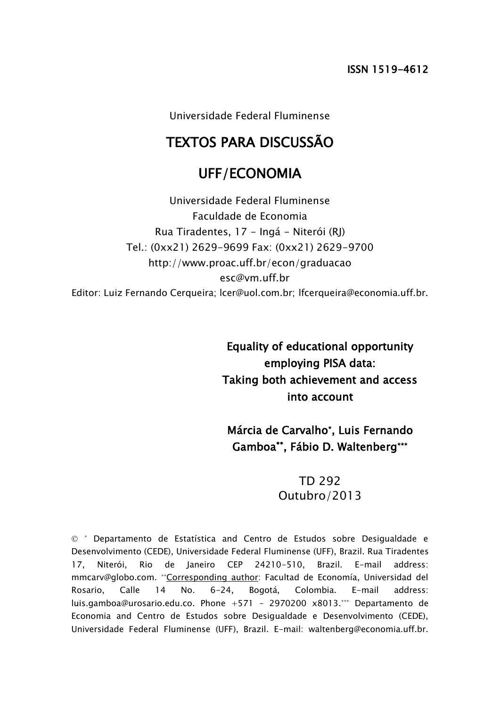Universidade Federal Fluminense

# TEXTOS PARA DISCUSSÃO

# UFF/ECONOMIA

Universidade Federal Fluminense Faculdade de Economia Rua Tiradentes, 17 - Ingá - Niterói (RJ) Tel.: (0xx21) 2629-9699 Fax: (0xx21) 2629-9700 http://www.proac.uff.br/econ/graduacao esc@vm.uff.br Editor: Luiz Fernando Cerqueira: Icer@uol.com.br: Ifcerqueira@economia.uff.br.

> Equality of educational opportunity employing PISA data: Taking both achievement and access into account

Márcia de Carvalho\* , Luis Fernando Gamboa\*\*, Fábio D. Waltenberg\*\*\*

# TD 292 Outubro/2013

 \* Departamento de Estatística and Centro de Estudos sobre Desigualdade e Desenvolvimento (CEDE), Universidade Federal Fluminense (UFF), Brazil. Rua Tiradentes 17, Niterói, Rio de Janeiro CEP 24210-510, Brazil. E-mail address: mmcarv@globo.com. \*\*Corresponding author: Facultad de Economía, Universidad del Rosario, Calle 14 No. 6-24, Bogotá, Colombia. E-mail address: luis.gamboa@urosario.edu.co. Phone +571 – 2970200 x8013.\*\*\* Departamento de Economia and Centro de Estudos sobre Desigualdade e Desenvolvimento (CEDE), Universidade Federal Fluminense (UFF), Brazil. E-mail: waltenberg@economia.uff.br.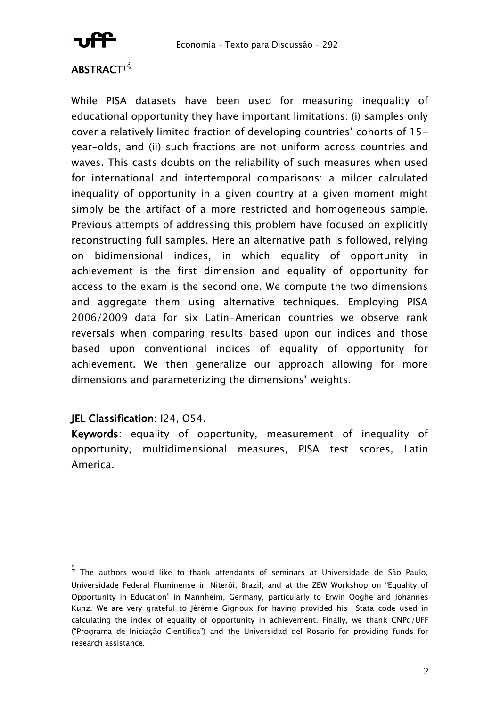

# **ABSTRACT<sup>1</sup><sup>5</sup>**

While PISA datasets have been used for measuring inequality of educational opportunity they have important limitations: (i) samples only cover a relatively limited fraction of developing countries' cohorts of 15 year-olds, and (ii) such fractions are not uniform across countries and waves. This casts doubts on the reliability of such measures when used for international and intertemporal comparisons: a milder calculated inequality of opportunity in a given country at a given moment might simply be the artifact of a more restricted and homogeneous sample. Previous attempts of addressing this problem have focused on explicitly reconstructing full samples. Here an alternative path is followed, relying on bidimensional indices, in which equality of opportunity in achievement is the first dimension and equality of opportunity for access to the exam is the second one. We compute the two dimensions and aggregate them using alternative techniques. Employing PISA 2006/2009 data for six Latin-American countries we observe rank reversals when comparing results based upon our indices and those based upon conventional indices of equality of opportunity for achievement. We then generalize our approach allowing for more dimensions and parameterizing the dimensions' weights.

# JEL Classification: I24, O54.

Keywords: equality of opportunity, measurement of inequality of opportunity, multidimensional measures, PISA test scores, Latin America.

 $\xi$  The authors would like to thank attendants of seminars at Universidade de São Paulo, Universidade Federal Fluminense in Niterói, Brazil, and at the ZEW Workshop on "Equality of Opportunity in Education" in Mannheim, Germany, particularly to Erwin Ooghe and Johannes Kunz. We are very grateful to Jérémie Gignoux for having provided his Stata code used in calculating the index of equality of opportunity in achievement. Finally, we thank CNPq/UFF ("Programa de Iniciação Científica") and the Universidad del Rosario for providing funds for research assistance.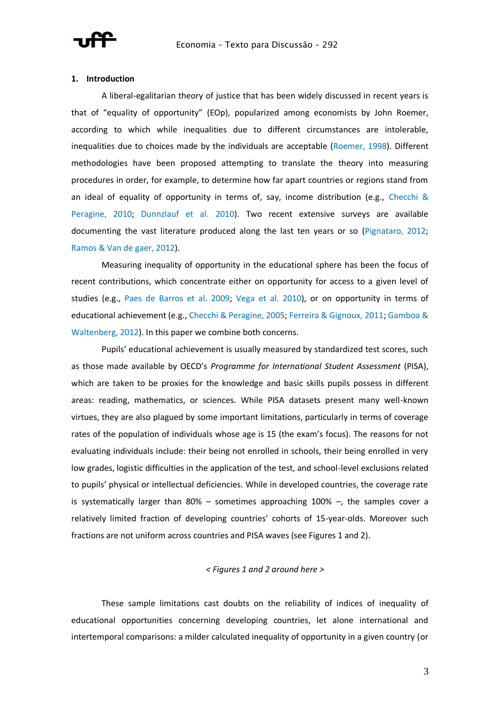

### **1. Introduction**

A liberal-egalitarian theory of justice that has been widely discussed in recent years is that of "equality of opportunity" (EOp), popularized among economists by John Roemer, according to which while inequalities due to different circumstances are intolerable, inequalities due to choices made by the individuals are acceptable (Roemer, 1998). Different methodologies have been proposed attempting to translate the theory into measuring procedures in order, for example, to determine how far apart countries or regions stand from an ideal of equality of opportunity in terms of, say, income distribution (e.g., Checchi & Peragine, 2010; Dunnzlauf et al. 2010). Two recent extensive surveys are available documenting the vast literature produced along the last ten years or so (Pignataro, 2012; Ramos & Van de gaer, 2012).

Measuring inequality of opportunity in the educational sphere has been the focus of recent contributions, which concentrate either on opportunity for access to a given level of studies (e.g., Paes de Barros et al. 2009; Vega et al. 2010), or on opportunity in terms of educational achievement (e.g., Checchi & Peragine, 2005; Ferreira & Gignoux, 2011; Gamboa & Waltenberg, 2012). In this paper we combine both concerns.

Pupils' educational achievement is usually measured by standardized test scores, such as those made available by OECD's *Programme for International Student Assessment* (PISA), which are taken to be proxies for the knowledge and basic skills pupils possess in different areas: reading, mathematics, or sciences. While PISA datasets present many well-known virtues, they are also plagued by some important limitations, particularly in terms of coverage rates of the population of individuals whose age is 15 (the exam's focus). The reasons for not evaluating individuals include: their being not enrolled in schools, their being enrolled in very low grades, logistic difficulties in the application of the test, and school-level exclusions related to pupils' physical or intellectual deficiencies. While in developed countries, the coverage rate is systematically larger than  $80\%$  – sometimes approaching  $100\%$  –, the samples cover a relatively limited fraction of developing countries' cohorts of 15-year-olds. Moreover such fractions are not uniform across countries and PISA waves (see Figures 1 and 2).

## *< Figures 1 and 2 around here >*

These sample limitations cast doubts on the reliability of indices of inequality of educational opportunities concerning developing countries, let alone international and intertemporal comparisons: a milder calculated inequality of opportunity in a given country (or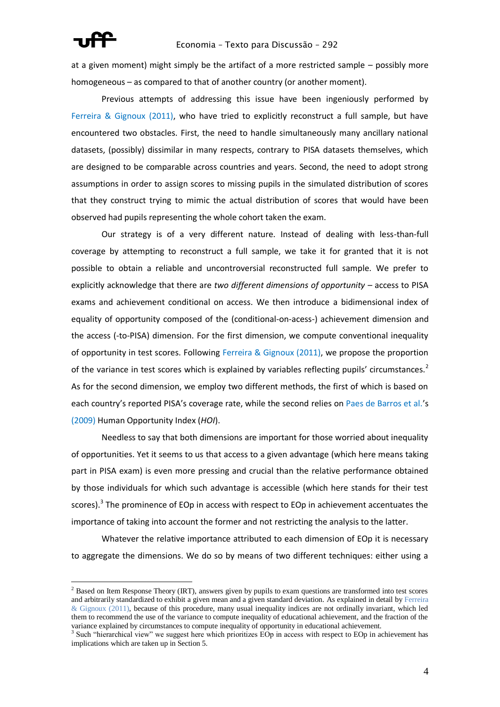

## Economia – Texto para Discussão – 292

at a given moment) might simply be the artifact of a more restricted sample – possibly more homogeneous – as compared to that of another country (or another moment).

Previous attempts of addressing this issue have been ingeniously performed by Ferreira & Gignoux (2011), who have tried to explicitly reconstruct a full sample, but have encountered two obstacles. First, the need to handle simultaneously many ancillary national datasets, (possibly) dissimilar in many respects, contrary to PISA datasets themselves, which are designed to be comparable across countries and years. Second, the need to adopt strong assumptions in order to assign scores to missing pupils in the simulated distribution of scores that they construct trying to mimic the actual distribution of scores that would have been observed had pupils representing the whole cohort taken the exam.

Our strategy is of a very different nature. Instead of dealing with less-than-full coverage by attempting to reconstruct a full sample, we take it for granted that it is not possible to obtain a reliable and uncontroversial reconstructed full sample. We prefer to explicitly acknowledge that there are *two different dimensions of opportunity* – access to PISA exams and achievement conditional on access. We then introduce a bidimensional index of equality of opportunity composed of the (conditional-on-acess-) achievement dimension and the access (-to-PISA) dimension. For the first dimension, we compute conventional inequality of opportunity in test scores. Following Ferreira & Gignoux (2011), we propose the proportion of the variance in test scores which is explained by variables reflecting pupils' circumstances.<sup>2</sup> As for the second dimension, we employ two different methods, the first of which is based on each country's reported PISA's coverage rate, while the second relies on Paes de Barros et al.'s (2009) Human Opportunity Index (*HOI*).

Needless to say that both dimensions are important for those worried about inequality of opportunities. Yet it seems to us that access to a given advantage (which here means taking part in PISA exam) is even more pressing and crucial than the relative performance obtained by those individuals for which such advantage is accessible (which here stands for their test scores).<sup>3</sup> The prominence of EOp in access with respect to EOp in achievement accentuates the importance of taking into account the former and not restricting the analysis to the latter.

Whatever the relative importance attributed to each dimension of EOp it is necessary to aggregate the dimensions. We do so by means of two different techniques: either using a

<sup>&</sup>lt;sup>2</sup> Based on Item Response Theory (IRT), answers given by pupils to exam questions are transformed into test scores and arbitrarily standardized to exhibit a given mean and a given standard deviation. As explained in detail by Ferreira  $&$  Gignoux (2011), because of this procedure, many usual inequality indices are not ordinally invariant, which led them to recommend the use of the variance to compute inequality of educational achievement, and the fraction of the variance explained by circumstances to compute inequality of opportunity in educational achievement.

<sup>&</sup>lt;sup>3</sup> Such "hierarchical view" we suggest here which prioritizes EOp in access with respect to EOp in achievement has implications which are taken up in Section 5.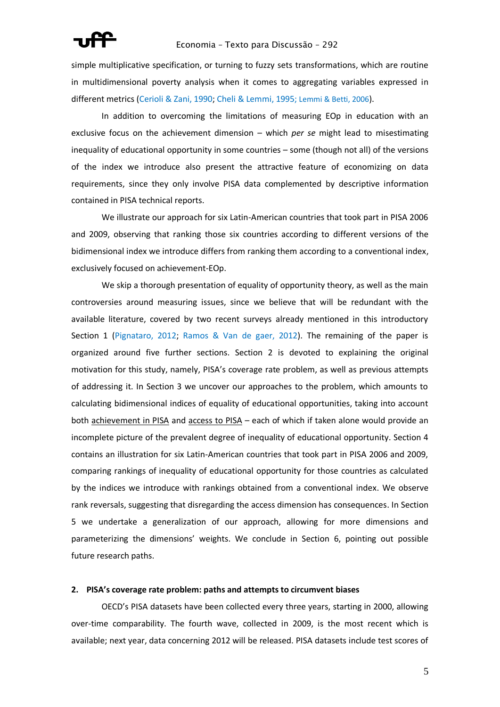simple multiplicative specification, or turning to fuzzy sets transformations, which are routine in multidimensional poverty analysis when it comes to aggregating variables expressed in different metrics (Cerioli & Zani, 1990; Cheli & Lemmi, 1995; Lemmi & Betti, 2006).

In addition to overcoming the limitations of measuring EOp in education with an exclusive focus on the achievement dimension – which *per se* might lead to misestimating inequality of educational opportunity in some countries – some (though not all) of the versions of the index we introduce also present the attractive feature of economizing on data requirements, since they only involve PISA data complemented by descriptive information contained in PISA technical reports.

We illustrate our approach for six Latin-American countries that took part in PISA 2006 and 2009, observing that ranking those six countries according to different versions of the bidimensional index we introduce differs from ranking them according to a conventional index, exclusively focused on achievement-EOp.

We skip a thorough presentation of equality of opportunity theory, as well as the main controversies around measuring issues, since we believe that will be redundant with the available literature, covered by two recent surveys already mentioned in this introductory Section 1 (Pignataro, 2012; Ramos & Van de gaer, 2012). The remaining of the paper is organized around five further sections. Section 2 is devoted to explaining the original motivation for this study, namely, PISA's coverage rate problem, as well as previous attempts of addressing it. In Section 3 we uncover our approaches to the problem, which amounts to calculating bidimensional indices of equality of educational opportunities, taking into account both achievement in PISA and access to PISA – each of which if taken alone would provide an incomplete picture of the prevalent degree of inequality of educational opportunity. Section 4 contains an illustration for six Latin-American countries that took part in PISA 2006 and 2009, comparing rankings of inequality of educational opportunity for those countries as calculated by the indices we introduce with rankings obtained from a conventional index. We observe rank reversals, suggesting that disregarding the access dimension has consequences. In Section 5 we undertake a generalization of our approach, allowing for more dimensions and parameterizing the dimensions' weights. We conclude in Section 6, pointing out possible future research paths.

# **2. PISA's coverage rate problem: paths and attempts to circumvent biases**

OECD's PISA datasets have been collected every three years, starting in 2000, allowing over-time comparability. The fourth wave, collected in 2009, is the most recent which is available; next year, data concerning 2012 will be released. PISA datasets include test scores of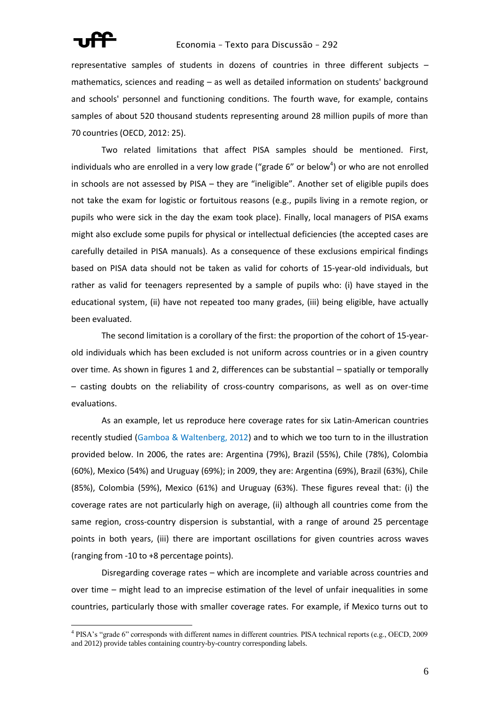

# Economia – Texto para Discussão – 292

representative samples of students in dozens of countries in three different subjects – mathematics, sciences and reading – as well as detailed information on students' background and schools' personnel and functioning conditions. The fourth wave, for example, contains samples of about 520 thousand students representing around 28 million pupils of more than 70 countries (OECD, 2012: 25).

Two related limitations that affect PISA samples should be mentioned. First, individuals who are enrolled in a very low grade ("grade 6" or below<sup>4</sup>) or who are not enrolled in schools are not assessed by PISA – they are "ineligible". Another set of eligible pupils does not take the exam for logistic or fortuitous reasons (e.g., pupils living in a remote region, or pupils who were sick in the day the exam took place). Finally, local managers of PISA exams might also exclude some pupils for physical or intellectual deficiencies (the accepted cases are carefully detailed in PISA manuals). As a consequence of these exclusions empirical findings based on PISA data should not be taken as valid for cohorts of 15-year-old individuals, but rather as valid for teenagers represented by a sample of pupils who: (i) have stayed in the educational system, (ii) have not repeated too many grades, (iii) being eligible, have actually been evaluated.

The second limitation is a corollary of the first: the proportion of the cohort of 15-yearold individuals which has been excluded is not uniform across countries or in a given country over time. As shown in figures 1 and 2, differences can be substantial – spatially or temporally – casting doubts on the reliability of cross-country comparisons, as well as on over-time evaluations.

As an example, let us reproduce here coverage rates for six Latin-American countries recently studied (Gamboa & Waltenberg, 2012) and to which we too turn to in the illustration provided below. In 2006, the rates are: Argentina (79%), Brazil (55%), Chile (78%), Colombia (60%), Mexico (54%) and Uruguay (69%); in 2009, they are: Argentina (69%), Brazil (63%), Chile (85%), Colombia (59%), Mexico (61%) and Uruguay (63%). These figures reveal that: (i) the coverage rates are not particularly high on average, (ii) although all countries come from the same region, cross-country dispersion is substantial, with a range of around 25 percentage points in both years, (iii) there are important oscillations for given countries across waves (ranging from -10 to +8 percentage points).

Disregarding coverage rates – which are incomplete and variable across countries and over time – might lead to an imprecise estimation of the level of unfair inequalities in some countries, particularly those with smaller coverage rates. For example, if Mexico turns out to

<sup>&</sup>lt;sup>4</sup> PISA's "grade 6" corresponds with different names in different countries. PISA technical reports (e.g., OECD, 2009 and 2012) provide tables containing country-by-country corresponding labels.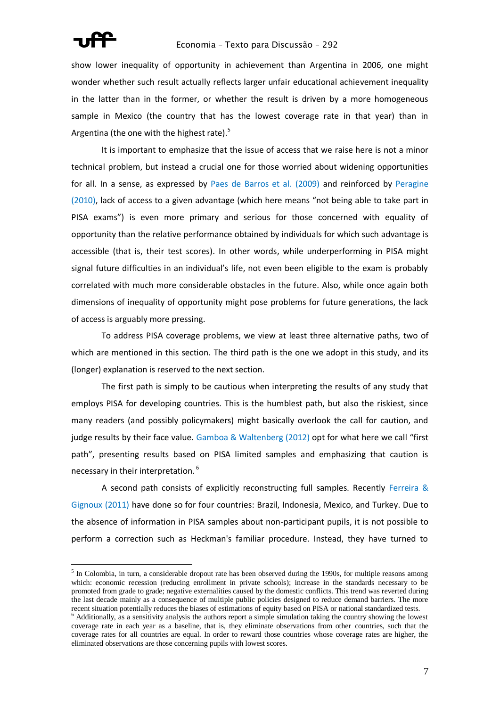# Economia – Texto para Discussão – 292

show lower inequality of opportunity in achievement than Argentina in 2006, one might wonder whether such result actually reflects larger unfair educational achievement inequality in the latter than in the former, or whether the result is driven by a more homogeneous sample in Mexico (the country that has the lowest coverage rate in that year) than in Argentina (the one with the highest rate).<sup>5</sup>

It is important to emphasize that the issue of access that we raise here is not a minor technical problem, but instead a crucial one for those worried about widening opportunities for all. In a sense, as expressed by Paes de Barros et al. (2009) and reinforced by Peragine (2010), lack of access to a given advantage (which here means "not being able to take part in PISA exams") is even more primary and serious for those concerned with equality of opportunity than the relative performance obtained by individuals for which such advantage is accessible (that is, their test scores). In other words, while underperforming in PISA might signal future difficulties in an individual's life, not even been eligible to the exam is probably correlated with much more considerable obstacles in the future. Also, while once again both dimensions of inequality of opportunity might pose problems for future generations, the lack of access is arguably more pressing.

To address PISA coverage problems, we view at least three alternative paths, two of which are mentioned in this section. The third path is the one we adopt in this study, and its (longer) explanation is reserved to the next section.

The first path is simply to be cautious when interpreting the results of any study that employs PISA for developing countries. This is the humblest path, but also the riskiest, since many readers (and possibly policymakers) might basically overlook the call for caution, and judge results by their face value. Gamboa & Waltenberg (2012) opt for what here we call "first path", presenting results based on PISA limited samples and emphasizing that caution is necessary in their interpretation.<sup>6</sup>

A second path consists of explicitly reconstructing full samples. Recently Ferreira & Gignoux (2011) have done so for four countries: Brazil, Indonesia, Mexico, and Turkey. Due to the absence of information in PISA samples about non-participant pupils, it is not possible to perform a correction such as Heckman's familiar procedure. Instead, they have turned to

 $<sup>5</sup>$  In Colombia, in turn, a considerable dropout rate has been observed during the 1990s, for multiple reasons among</sup> which: economic recession (reducing enrollment in private schools); increase in the standards necessary to be promoted from grade to grade; negative externalities caused by the domestic conflicts. This trend was reverted during the last decade mainly as a consequence of multiple public policies designed to reduce demand barriers. The more recent situation potentially reduces the biases of estimations of equity based on PISA or national standardized tests.

 $6$  Additionally, as a sensitivity analysis the authors report a simple simulation taking the country showing the lowest coverage rate in each year as a baseline, that is, they eliminate observations from other countries, such that the coverage rates for all countries are equal. In order to reward those countries whose coverage rates are higher, the eliminated observations are those concerning pupils with lowest scores.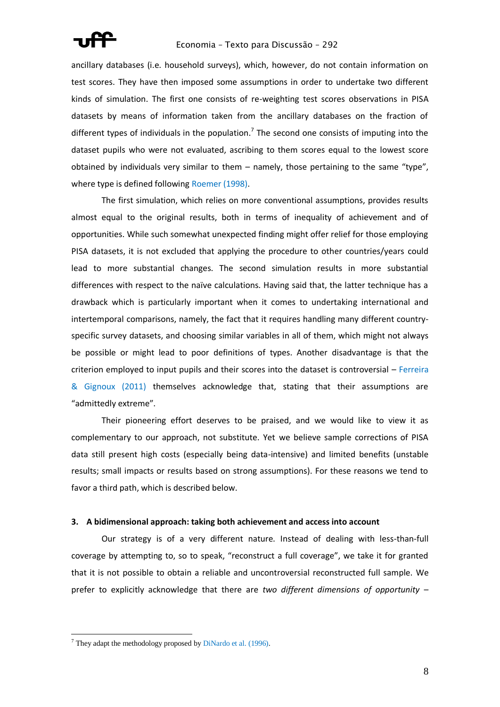

# Economia – Texto para Discussão – 292

ancillary databases (i.e. household surveys), which, however, do not contain information on test scores. They have then imposed some assumptions in order to undertake two different kinds of simulation. The first one consists of re-weighting test scores observations in PISA datasets by means of information taken from the ancillary databases on the fraction of different types of individuals in the population.<sup>7</sup> The second one consists of imputing into the dataset pupils who were not evaluated, ascribing to them scores equal to the lowest score obtained by individuals very similar to them – namely, those pertaining to the same "type", where type is defined following Roemer (1998).

The first simulation, which relies on more conventional assumptions, provides results almost equal to the original results, both in terms of inequality of achievement and of opportunities. While such somewhat unexpected finding might offer relief for those employing PISA datasets, it is not excluded that applying the procedure to other countries/years could lead to more substantial changes. The second simulation results in more substantial differences with respect to the naïve calculations. Having said that, the latter technique has a drawback which is particularly important when it comes to undertaking international and intertemporal comparisons, namely, the fact that it requires handling many different countryspecific survey datasets, and choosing similar variables in all of them, which might not always be possible or might lead to poor definitions of types. Another disadvantage is that the criterion employed to input pupils and their scores into the dataset is controversial – Ferreira & Gignoux (2011) themselves acknowledge that, stating that their assumptions are "admittedly extreme".

Their pioneering effort deserves to be praised, and we would like to view it as complementary to our approach, not substitute. Yet we believe sample corrections of PISA data still present high costs (especially being data-intensive) and limited benefits (unstable results; small impacts or results based on strong assumptions). For these reasons we tend to favor a third path, which is described below.

### **3. A bidimensional approach: taking both achievement and access into account**

Our strategy is of a very different nature. Instead of dealing with less-than-full coverage by attempting to, so to speak, "reconstruct a full coverage", we take it for granted that it is not possible to obtain a reliable and uncontroversial reconstructed full sample. We prefer to explicitly acknowledge that there are *two different dimensions of opportunity* –

 $\overline{a}$ 

 $<sup>7</sup>$  They adapt the methodology proposed by DiNardo et al. (1996).</sup>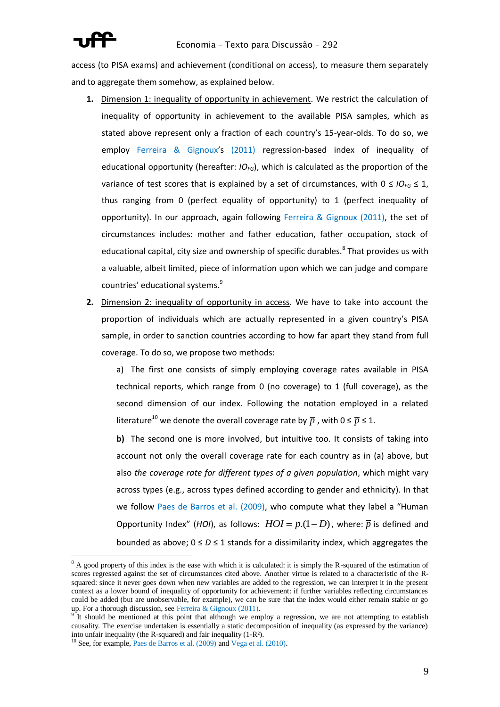

access (to PISA exams) and achievement (conditional on access), to measure them separately and to aggregate them somehow, as explained below.

- **1.** Dimension 1: inequality of opportunity in achievement. We restrict the calculation of inequality of opportunity in achievement to the available PISA samples, which as stated above represent only a fraction of each country's 15-year-olds. To do so, we employ Ferreira & Gignoux's (2011) regression-based index of inequality of educational opportunity (hereafter: *IOFG*), which is calculated as the proportion of the variance of test scores that is explained by a set of circumstances, with  $0 \leq I O_{FG} \leq 1$ , thus ranging from 0 (perfect equality of opportunity) to 1 (perfect inequality of opportunity). In our approach, again following Ferreira & Gignoux (2011), the set of circumstances includes: mother and father education, father occupation, stock of educational capital, city size and ownership of specific durables.<sup>8</sup> That provides us with a valuable, albeit limited, piece of information upon which we can judge and compare countries' educational systems.<sup>9</sup>
- **2.** Dimension 2: inequality of opportunity in access. We have to take into account the proportion of individuals which are actually represented in a given country's PISA sample, in order to sanction countries according to how far apart they stand from full coverage. To do so, we propose two methods:

a) The first one consists of simply employing coverage rates available in PISA technical reports, which range from 0 (no coverage) to 1 (full coverage), as the second dimension of our index. Following the notation employed in a related literature<sup>10</sup> we denote the overall coverage rate by  $\overline{p}$  , with  $0 \le \overline{p} \le 1$ .

**b)** The second one is more involved, but intuitive too. It consists of taking into account not only the overall coverage rate for each country as in (a) above, but also *the coverage rate for different types of a given population*, which might vary across types (e.g., across types defined according to gender and ethnicity). In that we follow Paes de Barros et al. (2009), who compute what they label a "Human Opportunity Index" (*HOI*), as follows:  $HOI = \overline{p}.(1-D)$ , where:  $\overline{p}$  is defined and bounded as above;  $0 \leq D \leq 1$  stands for a dissimilarity index, which aggregates the

 $\overline{a}$ 

 $8$  A good property of this index is the ease with which it is calculated: it is simply the R-squared of the estimation of scores regressed against the set of circumstances cited above. Another virtue is related to a characteristic of the Rsquared: since it never goes down when new variables are added to the regression, we can interpret it in the present context as a lower bound of inequality of opportunity for achievement: if further variables reflecting circumstances could be added (but are unobservable, for example), we can be sure that the index would either remain stable or go up. For a thorough discussion, see Ferreira & Gignoux (2011).

It should be mentioned at this point that although we employ a regression, we are not attempting to establish causality. The exercise undertaken is essentially a static decomposition of inequality (as expressed by the variance) into unfair inequality (the R-squared) and fair inequality (1-R²).

<sup>&</sup>lt;sup>10</sup> See, for example, Paes de Barros et al. (2009) and Vega et al. (2010).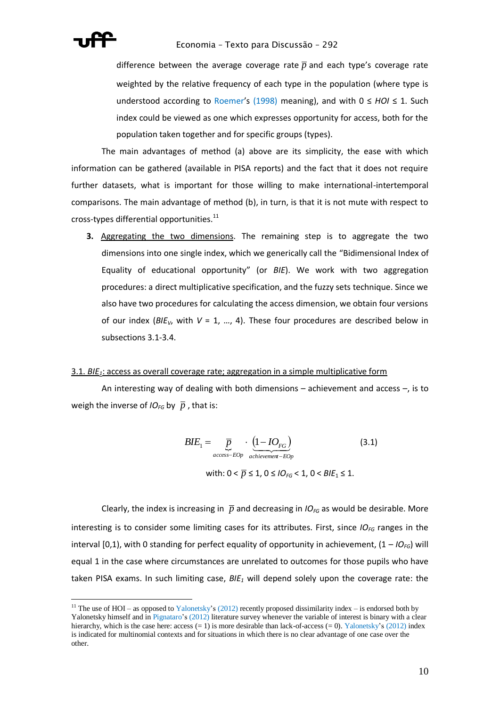

difference between the average coverage rate  $\overline{p}$  and each type's coverage rate weighted by the relative frequency of each type in the population (where type is understood according to Roemer's (1998) meaning), and with 0 ≤ *HOI* ≤ 1. Such index could be viewed as one which expresses opportunity for access, both for the population taken together and for specific groups (types).

The main advantages of method (a) above are its simplicity, the ease with which information can be gathered (available in PISA reports) and the fact that it does not require further datasets, what is important for those willing to make international-intertemporal comparisons. The main advantage of method (b), in turn, is that it is not mute with respect to cross-types differential opportunities. $^{11}$ 

**3.** Aggregating the two dimensions. The remaining step is to aggregate the two dimensions into one single index, which we generically call the "Bidimensional Index of Equality of educational opportunity" (or *BIE*). We work with two aggregation procedures: a direct multiplicative specification, and the fuzzy sets technique. Since we also have two procedures for calculating the access dimension, we obtain four versions of our index ( $B/E_v$ , with  $V = 1$ , ..., 4). These four procedures are described below in subsections 3.1-3.4.

## 3.1. *BIE1*: access as overall coverage rate; aggregation in a simple multiplicative form

An interesting way of dealing with both dimensions – achievement and access –, is to weigh the inverse of *IO*<sub>FG</sub> by  $\overline{p}$  , that is:

$$
BIE_1 = \underbrace{\overline{p}}_{access-EDp} \cdot \underbrace{(1 - IO_{FG})}_{achievement-EDp}
$$
 (3.1)  
with:  $0 < \overline{p} \le 1$ ,  $0 \le IO_{FG} < 1$ ,  $0 < BIE_1 \le 1$ .

Clearly, the index is increasing in  $\bar{p}$  and decreasing in  $I O_{FG}$  as would be desirable. More interesting is to consider some limiting cases for its attributes. First, since *IOFG* ranges in the interval [0,1], with 0 standing for perfect equality of opportunity in achievement,  $(1 - I O_{FG})$  will equal 1 in the case where circumstances are unrelated to outcomes for those pupils who have taken PISA exams. In such limiting case, *BIE<sup>1</sup>* will depend solely upon the coverage rate: the

<sup>&</sup>lt;sup>11</sup> The use of HOI – as opposed to Yalonetsky's (2012) recently proposed dissimilarity index – is endorsed both by Yalonetsky himself and in Pignataro's (2012) literature survey whenever the variable of interest is binary with a clear hierarchy, which is the case here: access  $(= 1)$  is more desirable than lack-of-access  $(= 0)$ . Yalonetsky's (2012) index is indicated for multinomial contexts and for situations in which there is no clear advantage of one case over the other.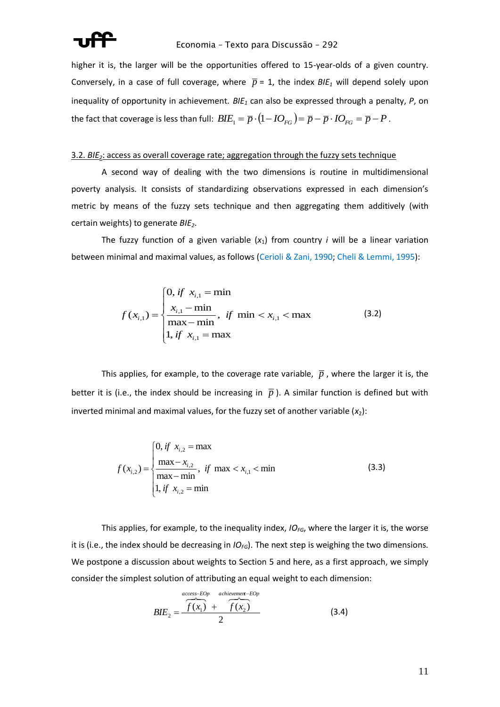

higher it is, the larger will be the opportunities offered to 15-year-olds of a given country. Conversely, in a case of full coverage, where  $\bar{p}$  = 1, the index  $B/E_1$  will depend solely upon inequality of opportunity in achievement. *BIE<sup>1</sup>* can also be expressed through a penalty, *P*, on the fact that coverage is less than full:  $B l E_1 = \overline{p} \cdot (1 - I O_{FG}) = \overline{p} - \overline{p} \cdot I O_{FG} = \overline{p} - P$  .

### 3.2. *BIE2*: access as overall coverage rate; aggregation through the fuzzy sets technique

A second way of dealing with the two dimensions is routine in multidimensional poverty analysis. It consists of standardizing observations expressed in each dimension's metric by means of the fuzzy sets technique and then aggregating them additively (with certain weights) to generate *BIE2*.

The fuzzy function of a given variable  $(x_1)$  from country *i* will be a linear variation between minimal and maximal values, as follows (Cerioli & Zani, 1990; Cheli & Lemmi, 1995):

$$
f(x_{i,1}) = \begin{cases} 0, & \text{if } x_{i,1} = \min \\ \frac{x_{i,1} - \min}{\max - \min}, & \text{if } \min < x_{i,1} < \max \\ 1, & \text{if } x_{i,1} = \max \end{cases}
$$
 (3.2)

This applies, for example, to the coverage rate variable,  $\bar{p}$  , where the larger it is, the better it is (i.e., the index should be increasing in  $\bar{p}$ ). A similar function is defined but with inverted minimal and maximal values, for the fuzzy set of another variable  $(x_2)$ :

$$
f(x_{i,2}) = \begin{cases} 0, & \text{if } x_{i,2} = \max \\ \frac{\max - x_{i,2}}{\max - \min}, & \text{if } \max < x_{i,1} < \min \\ 1, & \text{if } x_{i,2} = \min \end{cases}
$$
 (3.3)

This applies, for example, to the inequality index, *IOFG*, where the larger it is, the worse it is (i.e., the index should be decreasing in *IOFG*). The next step is weighing the two dimensions. We postpone a discussion about weights to Section 5 and here, as a first approach, we simply consider the simplest solution of attributing an equal weight to each dimension:

$$
BIE2 = \frac{\overbrace{f(x_1)}^{accept-ROP} + \overbrace{f(x_2)}^{achievement-EOP}}{2}
$$
 (3.4)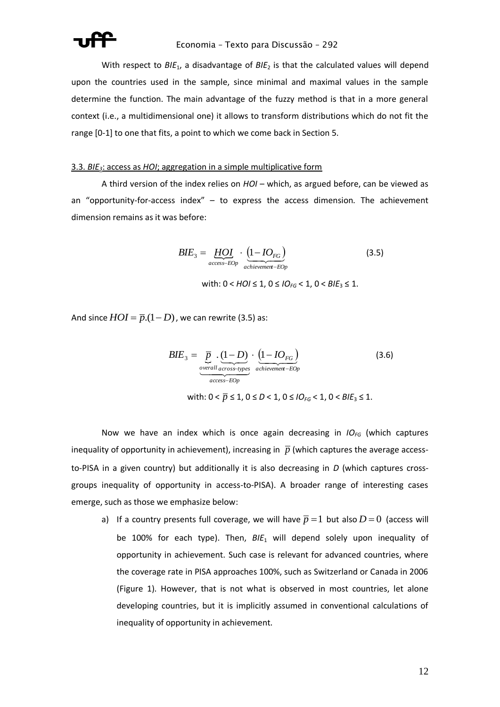

With respect to BIE<sub>1</sub>, a disadvantage of BIE<sub>2</sub> is that the calculated values will depend upon the countries used in the sample, since minimal and maximal values in the sample determine the function. The main advantage of the fuzzy method is that in a more general context (i.e., a multidimensional one) it allows to transform distributions which do not fit the range [0-1] to one that fits, a point to which we come back in Section 5.

## 3.3. *BIE3*: access as *HOI*; aggregation in a simple multiplicative form

A third version of the index relies on *HOI* – which, as argued before, can be viewed as an "opportunity-for-access index" – to express the access dimension. The achievement dimension remains as it was before:

$$
BIE_3 = \underbrace{HOI}_{access-EOp} \cdot \underbrace{(1 - IO_{FG})}_{achievement-EOp}
$$
 (3.5)

with:  $0 < HOI \le 1$ ,  $0 \le IO_{FG} < 1$ ,  $0 < BIE_3 \le 1$ .

And since  $HOI = \overline{p}.(1-D)$  , we can rewrite (3.5) as:

$$
BIE_3 = \underbrace{\overline{p}}_{\substack{\text{overall across-type} \\ \text{access} - EOp}} \cdot \underbrace{(1 - IO_{FG})}_{\text{achievement} - EOp}
$$
(3.6)

with: 0 < *p* ≤ 1, 0 ≤ *D* < 1, 0 ≤ *IOFG* < 1, 0 < *BIE*<sup>3</sup> ≤ 1.

Now we have an index which is once again decreasing in *IOFG* (which captures inequality of opportunity in achievement), increasing in  $\bar{p}$  (which captures the average accessto-PISA in a given country) but additionally it is also decreasing in *D* (which captures crossgroups inequality of opportunity in access-to-PISA). A broader range of interesting cases emerge, such as those we emphasize below:

a) If a country presents full coverage, we will have  $\bar{p}$  = 1 but also  $D$  = 0 (access will be 100% for each type). Then, *BIE*<sup>1</sup> will depend solely upon inequality of opportunity in achievement. Such case is relevant for advanced countries, where the coverage rate in PISA approaches 100%, such as Switzerland or Canada in 2006 (Figure 1). However, that is not what is observed in most countries, let alone developing countries, but it is implicitly assumed in conventional calculations of inequality of opportunity in achievement.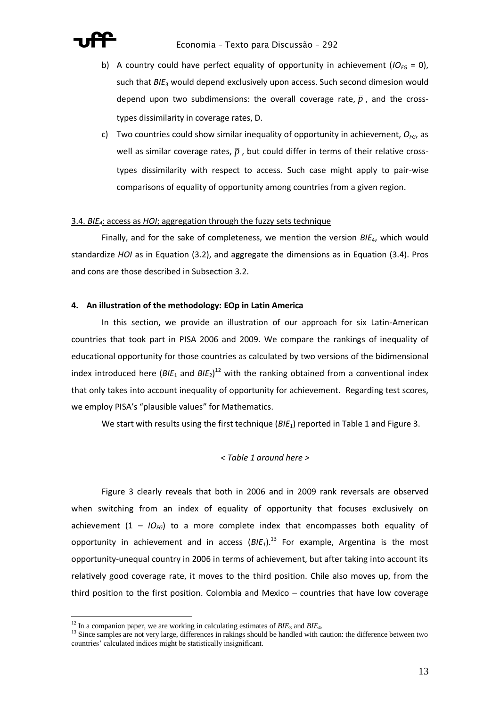

- b) A country could have perfect equality of opportunity in achievement  $(IO_{FG} = 0)$ , such that *BIE*<sup>3</sup> would depend exclusively upon access. Such second dimesion would depend upon two subdimensions: the overall coverage rate,  $\overline{p}$  , and the crosstypes dissimilarity in coverage rates, D.
- c) Two countries could show similar inequality of opportunity in achievement,  $O_{FG}$ , as well as similar coverage rates,  $\overline{p}$  , but could differ in terms of their relative crosstypes dissimilarity with respect to access. Such case might apply to pair-wise comparisons of equality of opportunity among countries from a given region.

## 3.4. *BIE4*: access as *HOI*; aggregation through the fuzzy sets technique

Finally, and for the sake of completeness, we mention the version *BIE*4, which would standardize *HOI* as in Equation (3.2), and aggregate the dimensions as in Equation (3.4). Pros and cons are those described in Subsection 3.2.

### **4. An illustration of the methodology: EOp in Latin America**

In this section, we provide an illustration of our approach for six Latin-American countries that took part in PISA 2006 and 2009. We compare the rankings of inequality of educational opportunity for those countries as calculated by two versions of the bidimensional index introduced here (BIE<sub>1</sub> and BIE<sub>2</sub>)<sup>12</sup> with the ranking obtained from a conventional index that only takes into account inequality of opportunity for achievement. Regarding test scores, we employ PISA's "plausible values" for Mathematics.

We start with results using the first technique ( $B/E_1$ ) reported in Table 1 and Figure 3.

# *< Table 1 around here >*

Figure 3 clearly reveals that both in 2006 and in 2009 rank reversals are observed when switching from an index of equality of opportunity that focuses exclusively on achievement  $(1 - IO<sub>FG</sub>)$  to a more complete index that encompasses both equality of opportunity in achievement and in access  $(BIE<sub>1</sub>)$ <sup>13</sup> For example, Argentina is the most opportunity-unequal country in 2006 in terms of achievement, but after taking into account its relatively good coverage rate, it moves to the third position. Chile also moves up, from the third position to the first position. Colombia and Mexico – countries that have low coverage

 $\overline{a}$ 

 $12$  In a companion paper, we are working in calculating estimates of  $BIE_3$  and  $BIE_4$ .

<sup>&</sup>lt;sup>13</sup> Since samples are not very large, differences in rakings should be handled with caution: the difference between two countries' calculated indices might be statistically insignificant.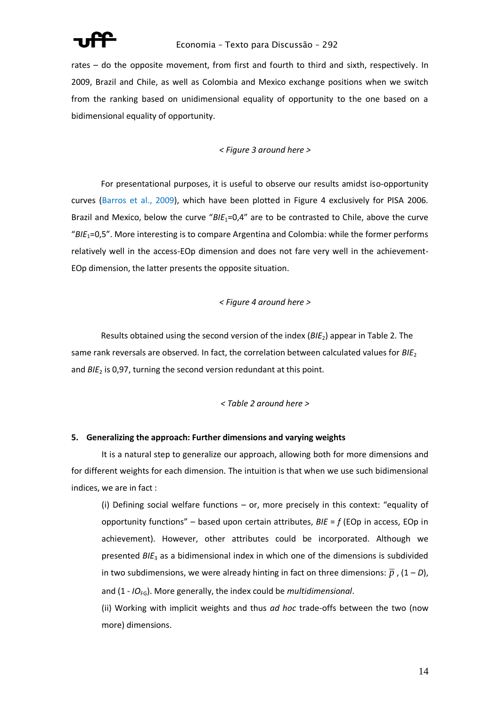

rates – do the opposite movement, from first and fourth to third and sixth, respectively. In 2009, Brazil and Chile, as well as Colombia and Mexico exchange positions when we switch from the ranking based on unidimensional equality of opportunity to the one based on a bidimensional equality of opportunity.

# *< Figure 3 around here >*

For presentational purposes, it is useful to observe our results amidst iso-opportunity curves (Barros et al., 2009), which have been plotted in Figure 4 exclusively for PISA 2006. Brazil and Mexico, below the curve "*BIE*1=0,4" are to be contrasted to Chile, above the curve "*BIE*1=0,5". More interesting is to compare Argentina and Colombia: while the former performs relatively well in the access-EOp dimension and does not fare very well in the achievement-EOp dimension, the latter presents the opposite situation.

# *< Figure 4 around here >*

Results obtained using the second version of the index (*BIE*2) appear in Table 2. The same rank reversals are observed. In fact, the correlation between calculated values for *BIE*<sup>2</sup> and *BIE*<sub>2</sub> is 0,97, turning the second version redundant at this point.

# *< Table 2 around here >*

# **5. Generalizing the approach: Further dimensions and varying weights**

It is a natural step to generalize our approach, allowing both for more dimensions and for different weights for each dimension. The intuition is that when we use such bidimensional indices, we are in fact :

(i) Defining social welfare functions – or, more precisely in this context: "equality of opportunity functions" – based upon certain attributes, *BIE* = *f* (EOp in access, EOp in achievement). However, other attributes could be incorporated. Although we presented *BIE*<sup>3</sup> as a bidimensional index in which one of the dimensions is subdivided in two subdimensions, we were already hinting in fact on three dimensions:  $\overline{p}$  , (1 – *D*), and (1 - *IO*<sub>FG</sub>). More generally, the index could be *multidimensional*.

(ii) Working with implicit weights and thus *ad hoc* trade-offs between the two (now more) dimensions.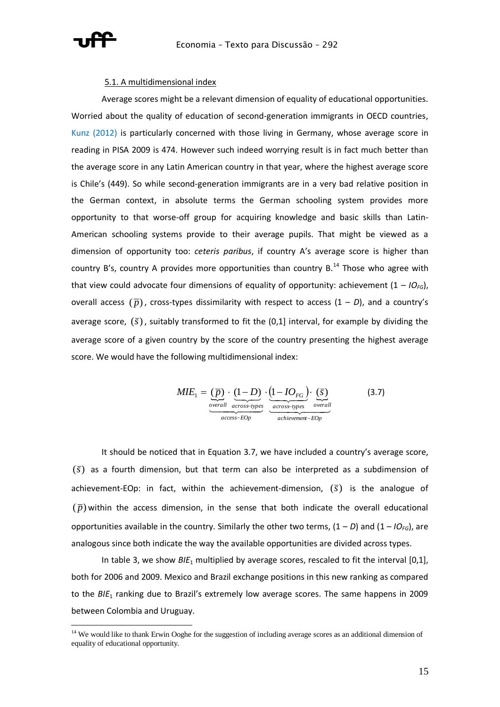

#### 5.1. A multidimensional index

Average scores might be a relevant dimension of equality of educational opportunities. Worried about the quality of education of second-generation immigrants in OECD countries, Kunz (2012) is particularly concerned with those living in Germany, whose average score in reading in PISA 2009 is 474. However such indeed worrying result is in fact much better than the average score in any Latin American country in that year, where the highest average score is Chile's (449). So while second-generation immigrants are in a very bad relative position in the German context, in absolute terms the German schooling system provides more opportunity to that worse-off group for acquiring knowledge and basic skills than Latin-American schooling systems provide to their average pupils. That might be viewed as a dimension of opportunity too: *ceteris paribus*, if country A's average score is higher than country B's, country A provides more opportunities than country  $B$ .<sup>14</sup> Those who agree with that view could advocate four dimensions of equality of opportunity: achievement  $(1 - IO_{FG})$ , overall access  $(\bar{p})$ , cross-types dissimilarity with respect to access  $(1 - D)$ , and a country's average score,  $(\bar{s})$ , suitably transformed to fit the  $(0,1]$  interval, for example by dividing the average score of a given country by the score of the country presenting the highest average score. We would have the following multidimensional index:

$$
MIE_1 = \underbrace{(\overline{p}) \cdot (1 - D)}_{\text{overall across-types}} \cdot \underbrace{(1 - IO_{FG}) \cdot (\overline{s})}_{\text{across-types}} \quad (3.7)
$$
\n
$$
\underbrace{(\overline{p}) \cdot (1 - IO_{FG}) \cdot (\overline{s})}_{\text{accelilevement-} \text{EOp}}
$$

It should be noticed that in Equation 3.7, we have included a country's average score,  $(\bar{s})$  as a fourth dimension, but that term can also be interpreted as a subdimension of achievement-EOp: in fact, within the achievement-dimension, (*s*) is the analogue of  $(\bar{p})$  within the access dimension, in the sense that both indicate the overall educational opportunities available in the country. Similarly the other two terms,  $(1 - D)$  and  $(1 - IO_{FG})$ , are analogous since both indicate the way the available opportunities are divided across types.

In table 3, we show *BIE*<sup>1</sup> multiplied by average scores, rescaled to fit the interval [0,1], both for 2006 and 2009. Mexico and Brazil exchange positions in this new ranking as compared to the *BIE*<sup>1</sup> ranking due to Brazil's extremely low average scores. The same happens in 2009 between Colombia and Uruguay.

<sup>&</sup>lt;sup>14</sup> We would like to thank Erwin Ooghe for the suggestion of including average scores as an additional dimension of equality of educational opportunity.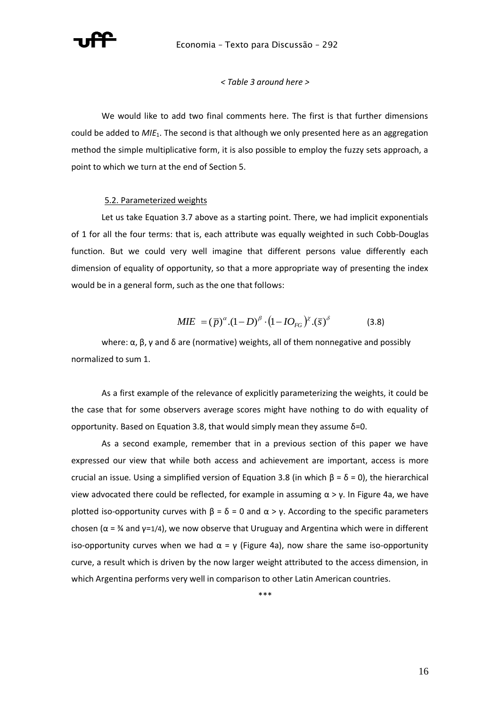

#### *< Table 3 around here >*

We would like to add two final comments here. The first is that further dimensions could be added to *MIE*1. The second is that although we only presented here as an aggregation method the simple multiplicative form, it is also possible to employ the fuzzy sets approach, a point to which we turn at the end of Section 5.

#### 5.2. Parameterized weights

Let us take Equation 3.7 above as a starting point. There, we had implicit exponentials of 1 for all the four terms: that is, each attribute was equally weighted in such Cobb-Douglas function. But we could very well imagine that different persons value differently each dimension of equality of opportunity, so that a more appropriate way of presenting the index would be in a general form, such as the one that follows:

$$
MIE = (\bar{p})^{\alpha}.(1 - D)^{\beta} \cdot (1 - IO_{FG})^{\chi}.(\bar{s})^{\delta} \tag{3.8}
$$

where:  $\alpha$ ,  $\beta$ ,  $\gamma$  and  $\delta$  are (normative) weights, all of them nonnegative and possibly normalized to sum 1.

As a first example of the relevance of explicitly parameterizing the weights, it could be the case that for some observers average scores might have nothing to do with equality of opportunity. Based on Equation 3.8, that would simply mean they assume  $δ=0$ .

As a second example, remember that in a previous section of this paper we have expressed our view that while both access and achievement are important, access is more crucial an issue. Using a simplified version of Equation 3.8 (in which  $β = δ = 0$ ), the hierarchical view advocated there could be reflected, for example in assuming  $\alpha$  > γ. In Figure 4a, we have plotted iso-opportunity curves with  $\beta = \delta = 0$  and  $\alpha > \gamma$ . According to the specific parameters chosen ( $\alpha = \frac{3}{4}$  and  $\gamma = \frac{1}{4}$ ), we now observe that Uruguay and Argentina which were in different iso-opportunity curves when we had  $\alpha = \gamma$  (Figure 4a), now share the same iso-opportunity curve, a result which is driven by the now larger weight attributed to the access dimension, in which Argentina performs very well in comparison to other Latin American countries.

\*\*\*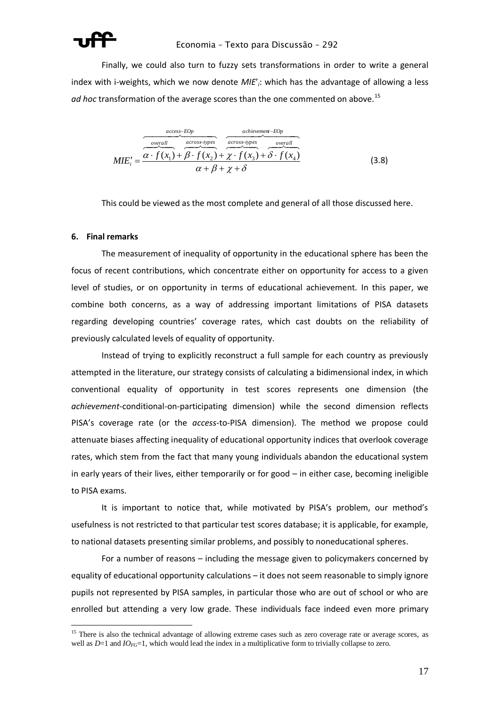

Finally, we could also turn to fuzzy sets transformations in order to write a general index with i-weights, which we now denote *MIE*'*i*: which has the advantage of allowing a less ad hoc transformation of the average scores than the one commented on above.<sup>15</sup>

 *achievement EOp overall across types access EOp overall across types i <sup>f</sup> <sup>x</sup> <sup>f</sup> <sup>x</sup> <sup>f</sup> <sup>x</sup> <sup>f</sup> <sup>x</sup> MIE* ( ) ( ) ( ) ( ) <sup>1</sup> <sup>2</sup> <sup>3</sup> <sup>4</sup> (3.8)

This could be viewed as the most complete and general of all those discussed here.

## **6. Final remarks**

 $\overline{a}$ 

The measurement of inequality of opportunity in the educational sphere has been the focus of recent contributions, which concentrate either on opportunity for access to a given level of studies, or on opportunity in terms of educational achievement. In this paper, we combine both concerns, as a way of addressing important limitations of PISA datasets regarding developing countries' coverage rates, which cast doubts on the reliability of previously calculated levels of equality of opportunity.

Instead of trying to explicitly reconstruct a full sample for each country as previously attempted in the literature, our strategy consists of calculating a bidimensional index, in which conventional equality of opportunity in test scores represents one dimension (the *achievement*-conditional-on-participating dimension) while the second dimension reflects PISA's coverage rate (or the *access*-to-PISA dimension). The method we propose could attenuate biases affecting inequality of educational opportunity indices that overlook coverage rates, which stem from the fact that many young individuals abandon the educational system in early years of their lives, either temporarily or for good – in either case, becoming ineligible to PISA exams.

It is important to notice that, while motivated by PISA's problem, our method's usefulness is not restricted to that particular test scores database; it is applicable, for example, to national datasets presenting similar problems, and possibly to noneducational spheres.

For a number of reasons – including the message given to policymakers concerned by equality of educational opportunity calculations – it does not seem reasonable to simply ignore pupils not represented by PISA samples, in particular those who are out of school or who are enrolled but attending a very low grade. These individuals face indeed even more primary

<sup>&</sup>lt;sup>15</sup> There is also the technical advantage of allowing extreme cases such as zero coverage rate or average scores, as well as  $D=1$  and  $IO_{FG}=1$ , which would lead the index in a multiplicative form to trivially collapse to zero.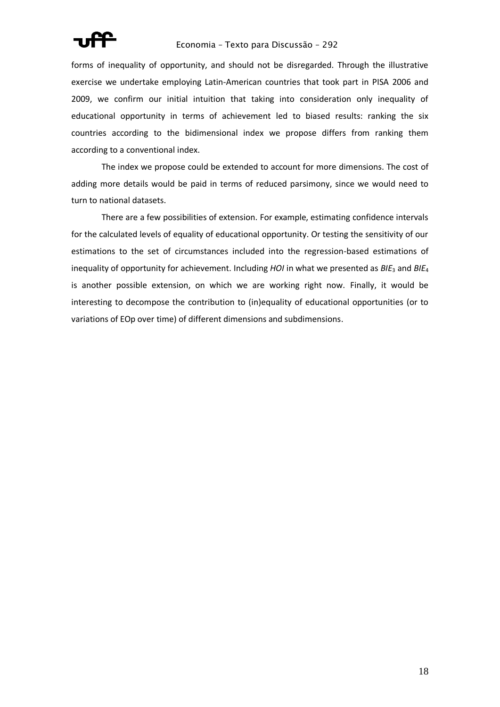

# Economia – Texto para Discussão – 292

forms of inequality of opportunity, and should not be disregarded. Through the illustrative exercise we undertake employing Latin-American countries that took part in PISA 2006 and 2009, we confirm our initial intuition that taking into consideration only inequality of educational opportunity in terms of achievement led to biased results: ranking the six countries according to the bidimensional index we propose differs from ranking them according to a conventional index.

The index we propose could be extended to account for more dimensions. The cost of adding more details would be paid in terms of reduced parsimony, since we would need to turn to national datasets.

There are a few possibilities of extension. For example, estimating confidence intervals for the calculated levels of equality of educational opportunity. Or testing the sensitivity of our estimations to the set of circumstances included into the regression-based estimations of inequality of opportunity for achievement. Including *HOI* in what we presented as *BIE*<sub>3</sub> and *BIE*<sub>4</sub> is another possible extension, on which we are working right now. Finally, it would be interesting to decompose the contribution to (in)equality of educational opportunities (or to variations of EOp over time) of different dimensions and subdimensions.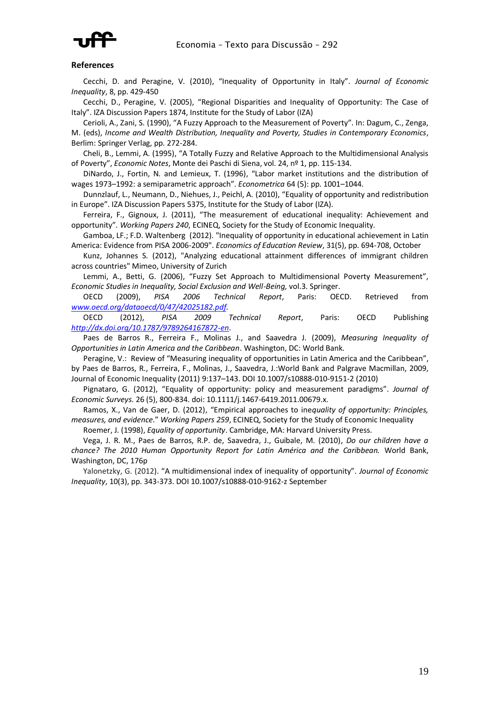

#### **References**

Cecchi, D. and Peragine, V. (2010), "Inequality of Opportunity in Italy". *Journal of Economic Inequality*, 8, pp. 429-450

Cecchi, D., Peragine, V. (2005), "Regional Disparities and Inequality of Opportunity: The Case of Italy". IZA Discussion Papers 1874, Institute for the Study of Labor (IZA)

Cerioli, A., Zani, S. (1990), "A Fuzzy Approach to the Measurement of Poverty". In: Dagum, C., Zenga, M. (eds), *Income and Wealth Distribution, Inequality and Poverty, Studies in Contemporary Economics*, Berlim: Springer Verlag, pp. 272-284.

Cheli, B., Lemmi, A. (1995), "A Totally Fuzzy and Relative Approach to the Multidimensional Analysis of Poverty", *Economic Notes*, Monte dei Paschi di Siena, vol. 24, nº 1, pp. 115-134.

DiNardo, J., Fortin, N. and Lemieux, T. (1996), "Labor market institutions and the distribution of wages 1973–1992: a semiparametric approach". *Econometrica* 64 (5): pp. 1001–1044.

Dunnzlauf, L., Neumann, D., Niehues, J., Peichl, A. (2010), "Equality of opportunity and redistribution in Europe". IZA Discussion Papers 5375, Institute for the Study of Labor (IZA).

Ferreira, F., Gignoux, J. (2011), "The measurement of educational inequality: Achievement and opportunity". *Working Papers 240*, ECINEQ, Society for the Study of Economic Inequality.

Gamboa, LF.; F.D. Waltenberg (2012). "Inequality of opportunity in educational achievement in Latin America: Evidence from PISA 2006-2009". *Economics of Education Review*, 31(5), pp. 694-708, October

Kunz, Johannes S. (2012), "Analyzing educational attainment differences of immigrant children across countries" Mimeo, University of Zurich

Lemmi, A., Betti, G. (2006), "Fuzzy Set Approach to Multidimensional Poverty Measurement", *Economic Studies in Inequality, Social Exclusion and Well-Being,* vol.3. Springer.

OECD (2009), *PISA 2006 Technical Report*, Paris: OECD. Retrieved from *[www.oecd.org/dataoecd/0/47/42025182.pdf.](http://www.oecd.org/dataoecd/0/47/42025182.pdf)* 

OECD (2012), *PISA 2009 Technical Report*, Paris: OECD Publishing *<http://dx.doi.org/10.1787/9789264167872-en>*.

Paes de Barros R., Ferreira F., Molinas J., and Saavedra J. (2009), *Measuring Inequality of Opportunities in Latin America and the Caribbean*. Washington, DC: World Bank.

Peragine, V.: Review of "Measuring inequality of opportunities in Latin America and the Caribbean", by Paes de Barros, R., Ferreira, F., Molinas, J., Saavedra, J.:World Bank and Palgrave Macmillan, 2009, Journal of Economic Inequality (2011) 9:137–143. DOI 10.1007/s10888-010-9151-2 (2010)

Pignataro, G. (2012), "Equality of opportunity: policy and measurement paradigms". *Journal of Economic Surveys*. 26 (5), 800-834. doi: 10.1111/j.1467-6419.2011.00679.x.

Ramos, X., Van de Gaer, D. (2012), "Empirical approaches to ine*quality of opportunity: Principles, measures, and evidence*." *Working Papers 259*, ECINEQ, Society for the Study of Economic Inequality

Roemer, J. (1998), *Equality of opportunity*. Cambridge, MA: Harvard University Press.

Vega, J. R. M., Paes de Barros, R.P. de, Saavedra, J., Guibale, M. (2010), *Do our children have a chance? The 2010 Human Opportunity Report for Latin América and the Caribbean.* World Bank, Washington, DC, 176p

Yalonetzky, G. (2012). "A multidimensional index of inequality of opportunity". *Journal of Economic Inequality*, 10(3), pp. 343-373. DOI 10.1007/s10888-010-9162-z September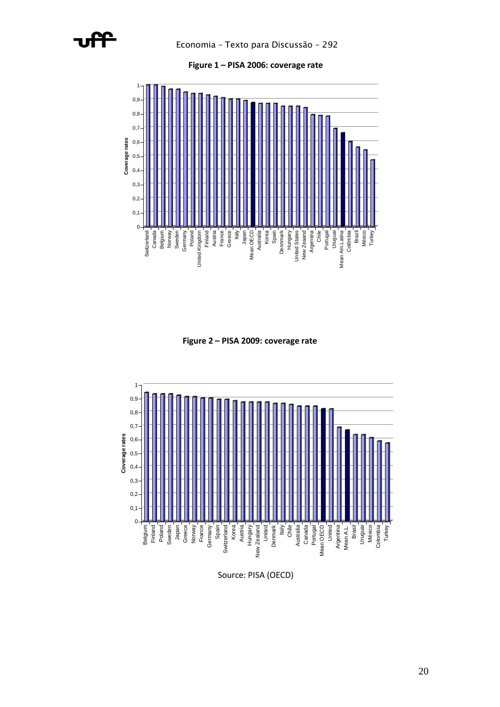



**Figure 2 – PISA 2009: coverage rate**



Source: PISA (OECD)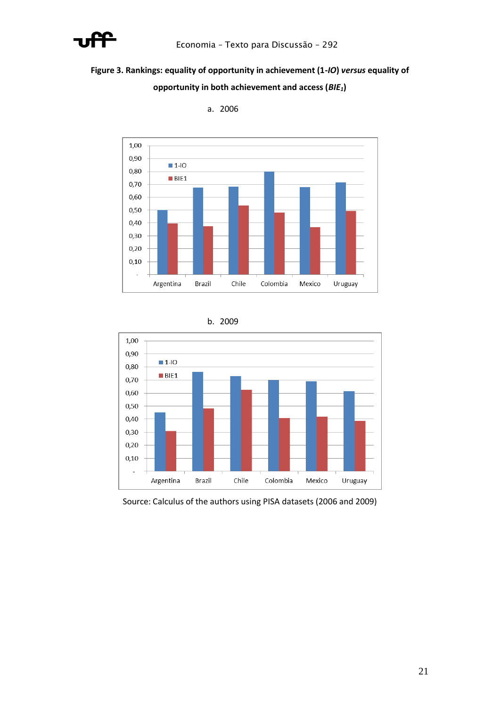

# **Figure 3. Rankings: equality of opportunity in achievement (1-***IO***)** *versus* **equality of opportunity in both achievement and access (***BIE1***)**



a. 2006





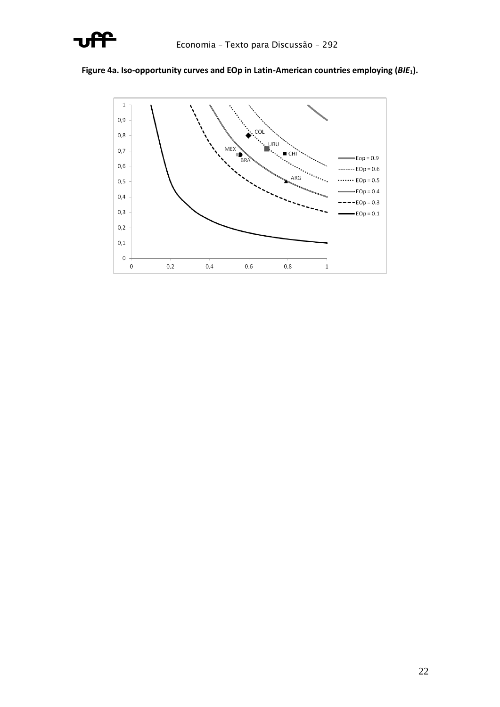

# **Figure 4a. Iso-opportunity curves and EOp in Latin-American countries employing (***BIE***1).**

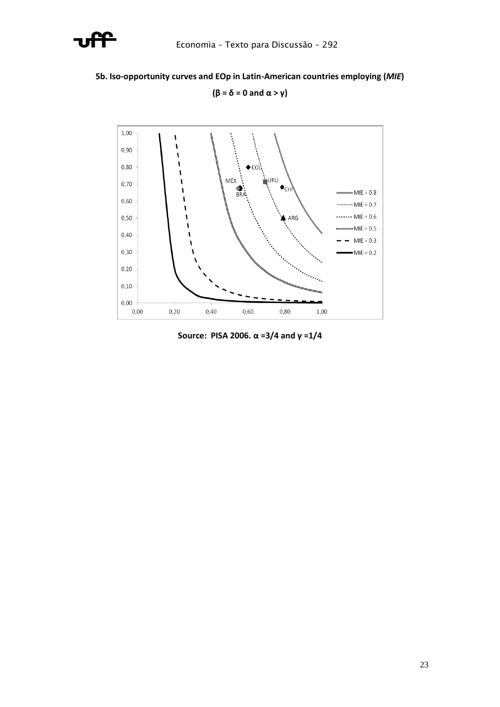

# **5b. Iso-opportunity curves and EOp in Latin-American countries employing (***MIE***)**



**(β = δ = 0 and α > γ)**

**Source: PISA 2006. α =3/4 and γ =1/4**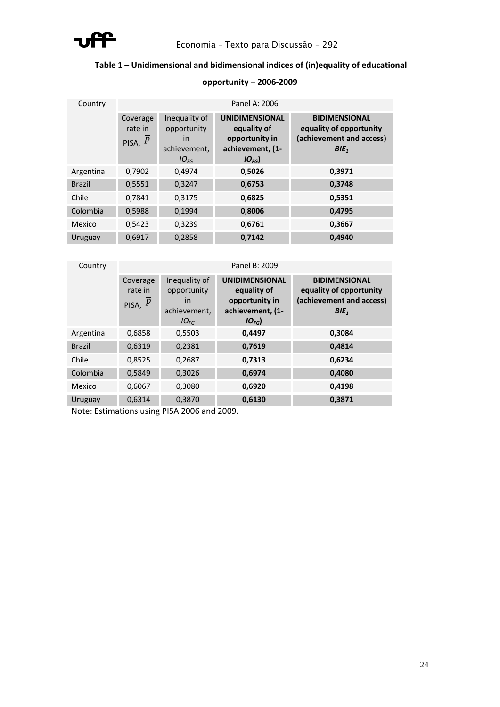

# **Table 1 – Unidimensional and bidimensional indices of (in)equality of educational**

| Country       | Panel A: 2006                    |                                                                 |                                                                                         |                                                                                                 |  |  |  |
|---------------|----------------------------------|-----------------------------------------------------------------|-----------------------------------------------------------------------------------------|-------------------------------------------------------------------------------------------------|--|--|--|
|               | Coverage<br>rate in<br>PISA, $P$ | Inequality of<br>opportunity<br>in<br>achievement,<br>$IO_{FG}$ | <b>UNIDIMENSIONAL</b><br>equality of<br>opportunity in<br>achievement, (1-<br>$IO_{FG}$ | <b>BIDIMENSIONAL</b><br>equality of opportunity<br>(achievement and access)<br>BIE <sub>1</sub> |  |  |  |
| Argentina     | 0,7902                           | 0,4974                                                          | 0,5026                                                                                  | 0,3971                                                                                          |  |  |  |
| <b>Brazil</b> | 0,5551                           | 0,3247                                                          | 0,6753                                                                                  | 0,3748                                                                                          |  |  |  |
| Chile         | 0,7841                           | 0,3175                                                          | 0,6825                                                                                  | 0,5351                                                                                          |  |  |  |
| Colombia      | 0,5988                           | 0,1994                                                          | 0,8006                                                                                  | 0,4795                                                                                          |  |  |  |
| Mexico        | 0,5423                           | 0,3239                                                          | 0,6761                                                                                  | 0,3667                                                                                          |  |  |  |
| Uruguay       | 0.6917                           | 0.2858                                                          | 0.7142                                                                                  | 0,4940                                                                                          |  |  |  |

# **opportunity – 2006-2009**

| Country       | Panel B: 2009                    |                                                                 |                                                                                         |                                                                                                 |  |  |  |
|---------------|----------------------------------|-----------------------------------------------------------------|-----------------------------------------------------------------------------------------|-------------------------------------------------------------------------------------------------|--|--|--|
|               | Coverage<br>rate in<br>PISA, $P$ | Inequality of<br>opportunity<br>in<br>achievement,<br>$IO_{FG}$ | <b>UNIDIMENSIONAL</b><br>equality of<br>opportunity in<br>achievement, (1-<br>$IO_{FG}$ | <b>BIDIMENSIONAL</b><br>equality of opportunity<br>(achievement and access)<br>BIE <sub>1</sub> |  |  |  |
| Argentina     | 0,6858                           | 0,5503                                                          | 0,4497                                                                                  | 0,3084                                                                                          |  |  |  |
| <b>Brazil</b> | 0,6319                           | 0,2381                                                          | 0,7619                                                                                  | 0,4814                                                                                          |  |  |  |
| Chile         | 0,8525                           | 0,2687                                                          | 0,7313                                                                                  | 0,6234                                                                                          |  |  |  |
| Colombia      | 0,5849                           | 0,3026                                                          | 0,6974                                                                                  | 0,4080                                                                                          |  |  |  |
| Mexico        | 0,6067                           | 0,3080                                                          | 0,6920                                                                                  | 0,4198                                                                                          |  |  |  |
| Uruguay       | 0,6314                           | 0,3870                                                          | 0,6130                                                                                  | 0,3871                                                                                          |  |  |  |

Note: Estimations using PISA 2006 and 2009.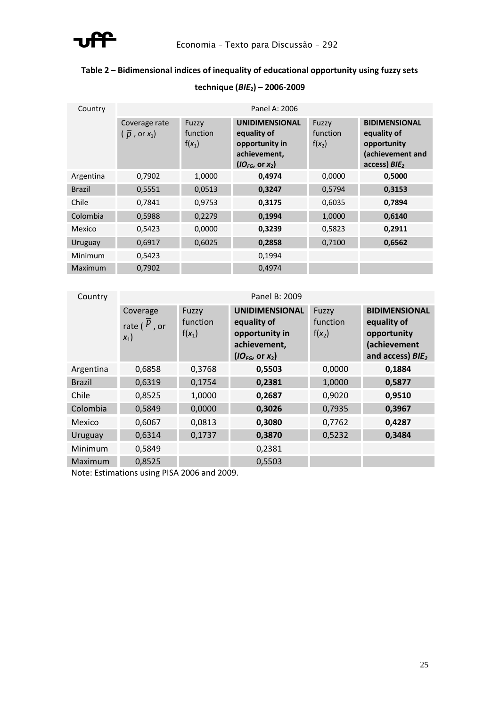

# **Table 2 – Bidimensional indices of inequality of educational opportunity using fuzzy sets**

# **technique (***BIE***2) – 2006-2009**

| Country        | Panel A: 2006                                  |                                      |                                                                                                                       |                               |                                                                                          |  |  |
|----------------|------------------------------------------------|--------------------------------------|-----------------------------------------------------------------------------------------------------------------------|-------------------------------|------------------------------------------------------------------------------------------|--|--|
|                | Coverage rate<br>( $\overline{p}$ , or $x_1$ ) | <b>Fuzzy</b><br>function<br>$f(x_1)$ | <b>UNIDIMENSIONAL</b><br>equality of<br>opportunity in<br>achievement,<br>$\left($ IO <sub>FG</sub> , or $x_2\right)$ | Fuzzy<br>function<br>$f(x_2)$ | <b>BIDIMENSIONAL</b><br>equality of<br>opportunity<br>(achievement and<br>access) $B/E2$ |  |  |
| Argentina      | 0,7902                                         | 1,0000                               | 0,4974                                                                                                                | 0,0000                        | 0,5000                                                                                   |  |  |
| <b>Brazil</b>  | 0,5551                                         | 0,0513                               | 0,3247                                                                                                                | 0,5794                        | 0,3153                                                                                   |  |  |
| Chile          | 0,7841                                         | 0,9753                               | 0,3175                                                                                                                | 0,6035                        | 0,7894                                                                                   |  |  |
| Colombia       | 0,5988                                         | 0,2279                               | 0,1994                                                                                                                | 1,0000                        | 0,6140                                                                                   |  |  |
| Mexico         | 0,5423                                         | 0,0000                               | 0,3239                                                                                                                | 0,5823                        | 0,2911                                                                                   |  |  |
| Uruguay        | 0,6917                                         | 0,6025                               | 0,2858                                                                                                                | 0,7100                        | 0,6562                                                                                   |  |  |
| Minimum        | 0,5423                                         |                                      | 0,1994                                                                                                                |                               |                                                                                          |  |  |
| <b>Maximum</b> | 0,7902                                         |                                      | 0.4974                                                                                                                |                               |                                                                                          |  |  |

| Country       | Panel B: 2009                        |                               |                                                                                                  |                               |                                                                                                    |  |  |
|---------------|--------------------------------------|-------------------------------|--------------------------------------------------------------------------------------------------|-------------------------------|----------------------------------------------------------------------------------------------------|--|--|
|               | Coverage<br>rate ( $P$ , or<br>$x_1$ | Fuzzy<br>function<br>$f(x_1)$ | <b>UNIDIMENSIONAL</b><br>equality of<br>opportunity in<br>achievement,<br>$(IO_{FG}$ , or $x_2)$ | Fuzzy<br>function<br>$f(x_2)$ | <b>BIDIMENSIONAL</b><br>equality of<br>opportunity<br>(achievement<br>and access) BIE <sub>2</sub> |  |  |
| Argentina     | 0,6858                               | 0,3768                        | 0,5503                                                                                           | 0,0000                        | 0,1884                                                                                             |  |  |
| <b>Brazil</b> | 0,6319                               | 0,1754                        | 0,2381                                                                                           | 1,0000                        | 0,5877                                                                                             |  |  |
| Chile         | 0,8525                               | 1,0000                        | 0,2687                                                                                           | 0,9020                        | 0,9510                                                                                             |  |  |
| Colombia      | 0,5849                               | 0,0000                        | 0,3026                                                                                           | 0,7935                        | 0,3967                                                                                             |  |  |
| Mexico        | 0,6067                               | 0,0813                        | 0,3080                                                                                           | 0,7762                        | 0,4287                                                                                             |  |  |
| Uruguay       | 0,6314                               | 0,1737                        | 0,3870                                                                                           | 0,5232                        | 0,3484                                                                                             |  |  |
| Minimum       | 0,5849                               |                               | 0,2381                                                                                           |                               |                                                                                                    |  |  |
| Maximum       | 0,8525                               |                               | 0,5503                                                                                           |                               |                                                                                                    |  |  |
|               |                                      |                               |                                                                                                  |                               |                                                                                                    |  |  |

Note: Estimations using PISA 2006 and 2009.